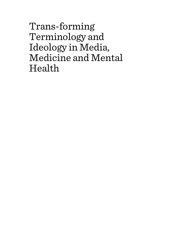Trans-forming Terminology and Ideology in Media, Medicine and Mental Health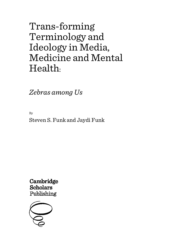# Trans-forming Terminology and Ideology in Media, Medicine and Mental Health:

*Zebras among Us*

By Steven S. Funk and Jaydi Funk

Cambridge **Scholars** Publishing

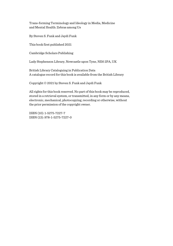Trans-forming Terminology and Ideology in Media, Medicine and Mental Health: Zebras among Us

By Steven S. Funk and Jaydi Funk

This book first published 2021

Cambridge Scholars Publishing

Lady Stephenson Library, Newcastle upon Tyne, NE6 2PA, UK

British Library Cataloguing in Publication Data A catalogue record for this book is available from the British Library

Copyright © 2021 by Steven S. Funk and Jaydi Funk

All rights for this book reserved. No part of this book may be reproduced, stored in a retrieval system, or transmitted, in any form or by any means, electronic, mechanical, photocopying, recording or otherwise, without the prior permission of the copyright owner.

ISBN (10): 1-5275-7227-7 ISBN (13): 978-1-5275-7227-0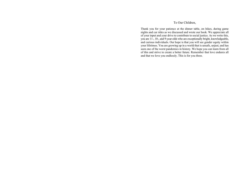### To Our Children,

Thank you for your patience at the dinner table, on hikes, during game nights and car rides as we discussed and wrote our book. We appreciate all of your input and your drive to contribute to social justice. As we write this, you are 11-, 10-, and 9-year-olds who are exceptionally bright, knowledgeable, and curious individuals. Our hope is that you will see gender equity within your lifetimes. You are growing up in a world that is unsafe, unjust, and has seen one of the worst pandemics in history. We hope you can learn from all of this and strive to create a better future. Remember that love endures all and that we love you endlessly. This is for you three.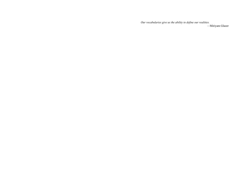*Our vocabularies give us the ability to define our realities. —*Miriyam Glazer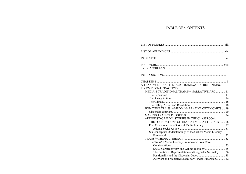# TABLE OF CONTENTS

| SYLVIA WHELAN, JD                                            |  |
|--------------------------------------------------------------|--|
|                                                              |  |
|                                                              |  |
| A TRANS*+ MEDIA LITERACY FRAMEWORK: RETHINKING               |  |
| EDUCATIONAL PRACTICES                                        |  |
| MEDIA'S TRADITIONAL TRANS*+ NARRATIVE ARC 11                 |  |
|                                                              |  |
|                                                              |  |
|                                                              |  |
|                                                              |  |
| WHAT THE TRANS*+ MEDIA NARRATIVE OFTEN OMITS  19             |  |
|                                                              |  |
|                                                              |  |
| ADDRESSING MEDIA STUDIES IN THE CLASSROOM:                   |  |
| THE FOUNDATIONS OF TRANS*+ MEDIA LITERACY  26                |  |
| Five Core Concepts of Critical Media Literacy 27             |  |
|                                                              |  |
| Six Conceptual Understandings of the Critical Media Literacy |  |
|                                                              |  |
|                                                              |  |
| The Trans*+ Media Literacy Framework: Four Core              |  |
|                                                              |  |
|                                                              |  |
| The Politics of Representation and Cisgender Normalcy  36    |  |
|                                                              |  |
| Activism and Mediated Spaces for Gender Expansion 42         |  |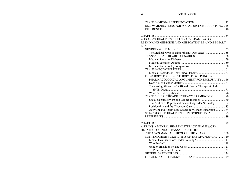| RECOMMENDATIONS FOR SOCIAL JUSTICE EDUCATORS 45          |  |
|----------------------------------------------------------|--|
|                                                          |  |
|                                                          |  |
|                                                          |  |
| A TRANS*+ HEALTHCARE LITERACY FRAMEWORK:                 |  |
| RETHINKING MEDICINE AND MEDICATION IN A NON-BINARY       |  |
| <b>ERA</b>                                               |  |
|                                                          |  |
| The Medical Myth of Dimorphism (Two Sexes)  56           |  |
|                                                          |  |
|                                                          |  |
|                                                          |  |
|                                                          |  |
|                                                          |  |
|                                                          |  |
| FROM BODY POLICING TO BODY PERCEIVING: A                 |  |
| PHARMACOLOGICAL ARGUMENT FOR INCLUSIVITY  66             |  |
|                                                          |  |
| The (In)Significance of ASB and Narrow Therapeutic Index |  |
|                                                          |  |
|                                                          |  |
| TRANS*+ HEALTHCARE LITERACY FRAMEWORK  80                |  |
|                                                          |  |
| The Politics of Representation and Cisgender Normalcy 82 |  |
|                                                          |  |
| Activism and Health Care Spaces for Gender Expansion  84 |  |
| WHAT SHOULD HEALTHCARE PROVIDERS DO?  85                 |  |
|                                                          |  |
|                                                          |  |
|                                                          |  |
| A TRANS*+ MENTAL HEALTH LITERACY FRAMEWORK:              |  |
| DEPATHOLOGIZING TRANS*+ IDENTITIES                       |  |
| THE APA'S MANUAL THROUGH THE YEARS  100                  |  |
| CONTEMPORARY CRITICISMS OF THE APA MANUAL  110           |  |
|                                                          |  |
|                                                          |  |
|                                                          |  |
|                                                          |  |
|                                                          |  |
|                                                          |  |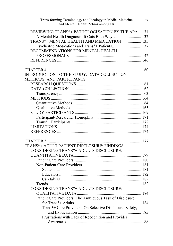| Trans-forming Terminology and Ideology in Media, Medicine<br>and Mental Health: Zebras among Us | ix |
|-------------------------------------------------------------------------------------------------|----|
| REVIEWING TRANS*+ PATHOLOGIZATION BY THE APA 131                                                |    |
| A Mental Health Diagnosis: It Cuts Both Ways 132                                                |    |
| TRANS*+ MENTAL HEALTH AND MEDICATION  135                                                       |    |
| Psychiatric Medications and Trans*+ Patients 137                                                |    |
| RECOMMENDATIONS FOR MENTAL HEALTH                                                               |    |
|                                                                                                 |    |
|                                                                                                 |    |
|                                                                                                 |    |
|                                                                                                 |    |
| INTRODUCTION TO THE STUDY: DATA COLLECTION,                                                     |    |
| METHODS, AND PARTICIPANTS                                                                       |    |
|                                                                                                 |    |
|                                                                                                 |    |
|                                                                                                 |    |
|                                                                                                 |    |
|                                                                                                 |    |
|                                                                                                 |    |
|                                                                                                 |    |
|                                                                                                 |    |
|                                                                                                 |    |
|                                                                                                 |    |
|                                                                                                 |    |
|                                                                                                 |    |
|                                                                                                 |    |
| TRANS*+ ADULT PATIENT DISCLOSURE: FINDINGS                                                      |    |
| CONSIDERING TRANS*+ ADULTS DISCLOSURE:                                                          |    |
|                                                                                                 |    |
|                                                                                                 |    |
|                                                                                                 |    |
|                                                                                                 |    |
|                                                                                                 |    |
|                                                                                                 |    |
|                                                                                                 |    |
| CONSIDERING TRANS*+ ADULTS DISCLOSURE:                                                          |    |
|                                                                                                 |    |
| Patient Care Providers: The Ambiguous Task of Disclosure                                        |    |
|                                                                                                 |    |
| Trans*+ Care Providers: On Selective Disclosure, Safety,                                        |    |
|                                                                                                 |    |
| Frustrations with Lack of Recognition and Provider                                              |    |
|                                                                                                 |    |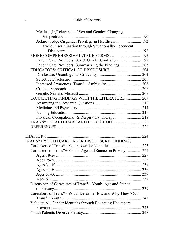### x Table of Contents

| Medical (Ir)Relevance of Sex and Gender: Changing           |  |
|-------------------------------------------------------------|--|
|                                                             |  |
| Acknowledge Cisgender Privilege in Healthcare 192           |  |
| Avoid Discrimination through Situationally-Dependent        |  |
|                                                             |  |
| MORE COMPREHENSIVE INTAKE FORMS  195                        |  |
| Patient Care Providers: Sex & Gender Conflation  199        |  |
| Patient Care Providers: Summarizing the Findings 203        |  |
|                                                             |  |
|                                                             |  |
|                                                             |  |
|                                                             |  |
|                                                             |  |
|                                                             |  |
| CONNECTING FINDINGS WITH THE LITERATURE  209                |  |
|                                                             |  |
|                                                             |  |
|                                                             |  |
| Physical, Occupational, & Respiratory Therapy  218          |  |
|                                                             |  |
|                                                             |  |
|                                                             |  |
|                                                             |  |
| TRANS*+ YOUTH CARETAKER DISCLOSURE: FINDINGS                |  |
| Caretakers of Trans*+ Youth: Gender Identities  225         |  |
| Caretakers of Trans*+ Youth: Age and Stance on Privacy 227  |  |
|                                                             |  |
|                                                             |  |
|                                                             |  |
|                                                             |  |
|                                                             |  |
|                                                             |  |
| Discussion of Caretakers of Trans*+ Youth: Age and Stance   |  |
|                                                             |  |
| Caretakers of Trans*+ Youth Describe How and Why They 'Out' |  |
|                                                             |  |
| Validate All Gender Identities through Educating Healthcare |  |
|                                                             |  |
|                                                             |  |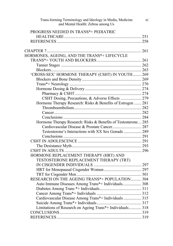| Trans-forming Terminology and Ideology in Media, Medicine<br>and Mental Health: Zebras among Us | xi |
|-------------------------------------------------------------------------------------------------|----|
| PROGRESS NEEDED IN TRANS*+ PEDIATRIC                                                            |    |
|                                                                                                 |    |
|                                                                                                 |    |
|                                                                                                 |    |
|                                                                                                 |    |
| HORMONES, AGEING, AND THE TRANS*+ LIFECYCLE                                                     |    |
|                                                                                                 |    |
|                                                                                                 |    |
|                                                                                                 |    |
| 'CROSS-SEX' HORMONE THERAPY (CSHT) IN YOUTH 269                                                 |    |
|                                                                                                 |    |
|                                                                                                 |    |
|                                                                                                 |    |
|                                                                                                 |    |
| CSHT Dosing, Precautions, & Adverse Effects  279                                                |    |
| Hormone Therapy Research: Risks & Benefits of Estrogen  281                                     |    |
|                                                                                                 |    |
|                                                                                                 |    |
|                                                                                                 |    |
| Hormone Therapy Research: Risks & Benefits of Testosterone  285                                 |    |
| Cardiovascular Disease & Prostate Cancer 287                                                    |    |
| Testosterone's Interactions with XX Sex Gonads  289                                             |    |
|                                                                                                 |    |
|                                                                                                 |    |
|                                                                                                 |    |
|                                                                                                 |    |
| HORMONE REPLACEMENT THERAPY (HRT) AND                                                           |    |
| TESTOSTERONE REPLACEMENT THERAPY (TRT)                                                          |    |
|                                                                                                 |    |
|                                                                                                 |    |
|                                                                                                 |    |
| RESEARCH ON THE AGEING TRANS*+ POPULATION 304                                                   |    |
| Auto Immune Diseases Among Trans*+ Individuals 308                                              |    |
|                                                                                                 |    |
|                                                                                                 |    |
| Cardiovascular Disease Among Trans*+ Individuals  315                                           |    |
|                                                                                                 |    |
| Limitations of Research on Ageing Trans*+ Individuals 318                                       |    |
|                                                                                                 |    |
|                                                                                                 |    |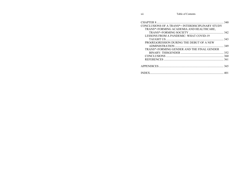|                                                  | 340 |
|--------------------------------------------------|-----|
| CONCLUSIONS OF A TRANS*+ INTERDISCIPLINARY STUDY |     |
| TRANS*+FORMING ACADEMIA AND HEALTHCARE,          |     |
|                                                  |     |
| <b>LESSONS FROM A PANDEMIC: WHAT COVID-19</b>    |     |
|                                                  |     |
| PRO(RE)GRESSION DURING THE DEBUT OF A NEW        |     |
|                                                  |     |
| TRANS*+FORMING GENDER AND THE FINAL GENDER       |     |
|                                                  |     |
|                                                  | 360 |
|                                                  |     |
|                                                  |     |
|                                                  |     |
|                                                  |     |
| <b>INDEX.</b>                                    |     |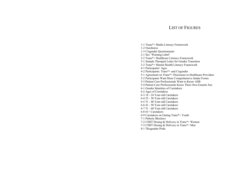# LIST OF FIGURES

- 1-1 Trans\*+ Media Literacy Framework
- 1-2 Ouroboros
- 1-3 Cisgender Questionnaire
- 2-1 Sex 'Warning Label'
- 2-2 Trans\*+ Healthcare Literacy Framework
- 3-1 Sample Therapist Letter for Gender Transition
- 3-2 Trans\*+ Mental Health Literacy Framework
- 4-1 Participants' Ages
- 4-2 Participants: Trans\*+ and Cisgender
- 5-1 Agreement on Trans\*+ Disclosure to Healthcare Providers
- 5-2 Participants Want More Comprehensive Intake Forms
- 5-3 Patient Care Professionals Want to Know ASB
- 5-4 Patient Care Professionals Know Their Own Genetic Sex
- 6-1 Gender Identities of Caretakers
- 6-2 Ages of Caretakers
- 6-3 18 24 Year-old Caretakers
- 6-4 25 30 Year-old Caretakers
- 6-5 31 40 Year-old Caretakers
- 6-6 41 50 Year-old Caretakers
- 6-7 51 60 Year-old Caretakers
- 6-8 61+ Caretakers
- 6-9 Caretakers on Outing Trans\*+ Youth
- 7-1 Puberty Blockers
- 7-2 CSHT Dosing & Delivery in Trans\*+ Women
- 7-3 CSHT Dosing & Delivery in Trans\*+ Men
- 8-1 Thisgender Pride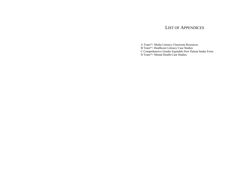### LIST OF APPENDICES

A Trans\*+ Media Literacy Classroom Resources

B Trans\*+ Healthcare Literacy Case Studies

C Comprehensive Gender Equitable New Patient Intake Form

D Trans\*+ Mental Health Case Studies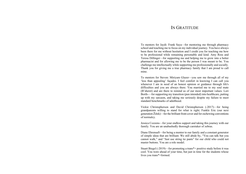# IN GRATITUDE

To mentors for Jaydi: Frank Saya—for mentoring me through pharmacy school and teaching me to focus on my individual journey. You have always been there for me without hesitation and I credit you for teaching me how to be professional while remaining personable and kind. Amy Ross and Teresa Dillinger—for supporting me and helping me to grow into a better pharmacist and for allowing me to be the person I was meant to be. You challenge me intellectually while supporting me professionally and socially. Thank you for giving me a true pharmacy family that I am proud to call mine.

To mentors for Steven: Miriyam Glazer—you saw me through all of my 'less than appealing' façades. I feel comfort in knowing I can call you whenever I am in need of an honest opinion or guidance through life's difficulties and you are always there. You married me to my soul mate (B'sheret) and are there to remind us of our most important values. Lori Borth-—for supporting my transition (pun intended) into healthcare, putting up with my sarcasm, and taking me seriously despite my failure to meet standard benchmarks of adulthood.

Vickie Christopherson and David Christopherson (-2017)—for being grandparents willing to stand for what is right; Funkle Eric (our next generation Žižek)—for the brilliant front cover and for eschewing conventions of normalcy.

Jessica Cozzens—for your endless support and taking this journey with our family. You are an unabashedly thorough caretaker of zebras.

Diane Ehrensaft—for being a mentor to our family and a constant generator of simple ideas that are brilliant. We still abide by, "You can talk but you cannot walk," and "Just use string tie pants" for our child who could not master buttons. You are a role model.

Stuart Biegel (-2019)—for promoting a trans\*+ positive study before it was cool. You were ahead of your time, but just in time for the students whose lives you trans\*+formed.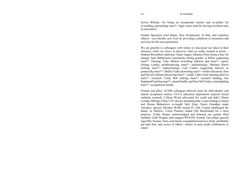Sylvia Whelan—for being an exceptional scholar and co-author for everything surrounding trans\*+ legal issues (and for having excellent taste in chocolate!).

Gender Spectrum (Joel Baum, Kim Westheimer, D Han, and countless others)—you literally save lives by providing a platform of awareness and activism for the next generation.

We are grateful to colleagues with whom we discussed our ideas in their nascency while we strove to discover what we really wanted to know— Stephen Rosenthal exploring Tanner stages; Johanna Olsen being a face for change; Jack Halberstam consistently failing gender; sj Miller supporting trans\*+ Nursing; Toby Meltzer kvetching Judaism and trans\*+ topics; George Lansky problematizing trans\*+ pulmonology; Michael Harris treating trans\*+ endocrinology; Carl Castles suggesting intersex as genetically trans\*+; Melda Yildiz promoting trans\*+ media education; Sara and David Liebman discussing trans\*+ youth; Cathy Grott opening doors to trans\*+ research; Cindy Bell seeking trans\*+ research funding; Sue Kapitanoff tackling trans\*+ mental health; and Kim McCloskey contemplating trans\*+ occupational health.

Friends and allies: ACHM colleagues allowed room for individuality and shared acceptance stories; UCLA education department inspired mixed methods research; Colleen Wood advocated for youth and didn't blame Canada; Billings Clinic CTC always attended pride; Laura Gittings-Carlson and Donna Bulatowicz co-taught Safe Zone; Stacie Grandpre made Tuesdays special; Michael Wolff rocked IT; Erik Uriarte challenged the binary in Hebrew; Carrie Pumilio traded Old MacDonald for a farm princess; Trisha Harper acknowledged and honored our gender fluid children; Galli Wagner side-stepped WPATH; Noonik Tarverdian ignored legal IDs; Nonnie, Nora, and family exemplified loud love; Kitty and Barbie put kids first; and scores of others—cheers to more pride celebrations to come!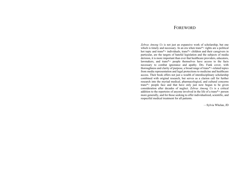### **FOREWORD**

*Zebras Among Us* is not just an expansive work of scholarship, but one which is timely and necessary. In an era when trans<sup>\*+</sup> rights are a political hot topic and trans\*+ individuals, trans\*+ children and their caregivers in particular, are the targets of hateful legislation and the subjects of media derision, it is more important than ever that healthcare providers, educators, lawmakers, and trans\*+ people themselves have access to the facts necessary to combat ignorance and apathy. Drs. Funk cover, with thoroughness and clarity of purpose, a broad range of trans\*+-related topics from media representation and legal protections to medicine and healthcare access. Their book offers not just a wealth of interdisciplinary scholarship combined with original research, but serves as a clarion call for further research into the myriad medical, pharmacological, and cultural concerns trans\*+ people face and that have only just now begun to be given consideration after decades of neglect. *Zebras Among Us* is a critical addition to the repertoire of anyone involved in the life of a trans\*+ person more generally, and for those seeking to offer individualized, scientific, and respectful medical treatment for all patients.

—Sylvia Whelan, JD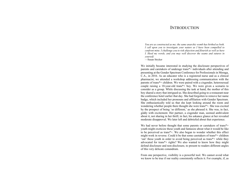### **INTRODUCTION**

*You are as constructed as me; the same anarchic womb has birthed us both. I call upon you to investigate your nature as I have been compelled to confront mine. I challenge you to risk abjection and flourish as well as have I. Heed my words, and you may well discover the seams and sutures in yourself.*

—Susan Stryker

We initially became interested in studying the disclosure perspectives of parents and caretakers of underage trans\*+ individuals after attending and presenting at the Gender Spectrum Conference for Professionals in Moraga, C.A., in 2016. As an educator who is a registered nurse and as a clinical pharmacist, we attended a workshop addressing communication with the parents of trans\*+ children. We were paired with a cisgender, heterosexual couple raising a 10-year-old trans\*+ boy. We were given a scenario to consider as a group. While discussing the task at hand, the mother of this boy shared a story that intrigued us. She described going to a restaurant near the conference hotel earlier that day. She had forgotten to remove her name badge, which included her pronouns and affiliation with Gender Spectrum. She enthusiastically told us that she kept looking around the room and wondering whether people there thought she were trans\*+. She was excited by the prospect of being 'so different,' as she phrased it. She was, in fact, giddy with excitement. Her partner, a cisgender man, seemed ambivalent about it, not sharing in her thrill; in fact, his askance glance at her revealed moderate disapproval. We later left and debriefed about that experience.

We had never before thought that some parents or caretakers of trans<sup>\*+</sup> youth might exoticize these youth and fantasize about what it would be like to be perceived as trans\*+. We also began to wonder whether this effect might work in reverse. Could it be that some caretakers of trans\*+ children 'out' these youth in order to avoid being perceived as trans\*+ while they advocated for trans\*+ rights? We also wanted to know how they might defend disclosure and non-disclosure, to present to readers different angles of this very delicate conundrum.

From one perspective, visibility is a powerful tool. We cannot avoid what we know to be true if our reality consistently reflects it. For example, if, as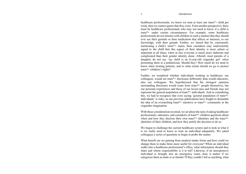#### Introduction

healthcare professionals, we know we treat at least one trans<sup>\*+</sup> child per week, then we cannot ignore that they exist. From another perspective, there must be healthcare professionals who may not need to know if a child is trans\*+ under certain circumstances. For example, some healthcare professionals do not interact with children in such a manner that they should ever see their genitals or dose medication that affects or interacts, to our knowledge, with their gonads. Further, we feared that by consistently mentioning a child's trans\*+ status, their caretakers may inadvertently signal to the child that this aspect of their identity is most salient or important at all times, when in fact everyone is much more elaborate and complicated than their gender identity alone. Afterall, most parents of a daughter do not say 'my child is an 8-year-old cisgender girl' when presenting them to a pediatrician. Should they? How much do we need to know when treating patients, and to what extent should we go to protect trans\*+ children's rights?

Further, we wondered whether individuals working in healthcare, our colleagues, would see trans\*+ disclosure differently than would educators, also our colleagues. We hypothesized that the strongest opinions surrounding disclosure would come from trans\*+ people themselves, but our personal experiences and those of our loved ones and friends may not represent the general population of trans\*+ individuals. And in considering this, we had to recognize that even saying 'general population of trans\*+ individuals' is risky, as our previous publications have fought to dismantle the idea of an overarching trans\*+ narrative or trans\*+ community in the cisgender imagination.

With these considerations in mind, we set about the task of asking healthcare professionals, educators, and caretakers of trans\*+ children questions about when and how they disclose their own trans\*+ identities and the trans\*+ identities of their children, and how they justify the decision to do so.

We began to challenge the current healthcare system and to look at what it is we really need to know to treat an individual adequately. We asked colleagues a series of questions to begin to probe the matter.

What benefit are we gaining from medical intake forms and how could we change them to make them more useful for everyone? When an individual walks into a healthcare professional's office, what information should they share and whose responsibility is it to tell? Likewise, if an unresponsive individual is brought into an emergency room, does it matter if we categorize them as male or as female? If they couldn't tell us anything, what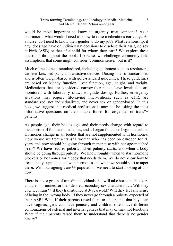#### Trans-forming Terminology and Ideology in Media, Medicine and Mental Health: Zebras among Us

would be most important to know to urgently treat someone? As a pharmacist, what would I need to know to dose medications correctly? As a nurse, do I need to know their gender to do my job? What relationship, if any, does age have on individuals' decisions to disclose their assigned sex at birth (ASB) or that of a child for whom they care? We explore these questions throughout the book. Likewise, we challenge commonly held assumptions that some might consider 'common sense,' but is it?

Much of medicine is standardized, including equipment such as respirators, catheter kits, bed pans, and assistive devices. Dosing is also standardized and is often weight-based with gold-standard guidelines. These guidelines are based on kidney function, liver function, age, height, and weight. Medications that are considered narrow-therapeutic have levels that are monitored with laboratory draws to guide dosing. Further, emergency situations that require life-saving interventions, such as CPR, are standardized, not individualized, and never sex or gender-based. In this book, we suggest that medical professionals may not be asking the most informative questions on their intake forms for cisgender or trans\*+ patients.

As people age, their bodies age, and their needs change with regard to metabolism of food and medicines, and all organ functions begin to decline. Hormones change in all bodies that are not supplemented with hormones. How would we treat a trans\*+ woman who has been on estrogen for 20 years and now should be going through menopause with her age-matched peers? We have studied puberty, when puberty starts, and when a body should be going through puberty. We know roughly when to start hormone blockers or hormones for a body that needs them. We do not know how to treat a body supplemented with hormones and when we should start to taper these. With our ageing trans\*+ population, we need to start looking at this now.

There is also a group of trans\*+ individuals that will take hormone blockers and then hormones for their desired secondary sex characteristics. Will they ever feel trans\*+ if they transitioned at 3-years-old? Will they feel any sense of being in the 'wrong body' if they never go through a puberty expected of their ASB? What if their parents raised them to understand that boys can have vaginas, girls can have penises, and children often have different combinations of external and internal gonads that may or may not function? What if their parents raised them to understand that there is no gender binary?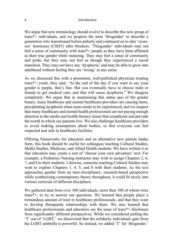#### 4 Introduction

We argue that new terminology should evolve to describe this new group of trans\*+ individuals, and we propose the term 'thisgender' to describe a generation who transitioned before puberty and continued on to take 'crosssex' hormones (CSHT) after blockers. 'Thisgender' individuals may not feel a sense of community with trans\*+ people as they have been affirmed as their true gender while maturing. They may feel a sense of community and pride, but they may not feel as though they experienced a social transition. They may not have any 'dysphoria' and may be able to grow into adulthood without feeling they are 'wrong' in any sense.

As we discussed this with a prominent, well-published physician treating trans\*+ youth, they said, "At the end of the day if you want to say your gender is purple, that's fine. But you eventually have to choose male or female to get medical care, and that will cause dysphoria." We disagree completely. We argue that in maintaining this status quo of the gender binary, many healthcare and mental healthcare providers are causing harm, precipitating dysphoria when none needs to be experienced, and we suspect that many healthcare and mental health professionals are not paying enough attention to the media and health literacy issues that complicate and pervade the world in which our patients live. We also challenge healthcare providers to avoid making assumptions about bodies, so that everyone can feel respected and safe in healthcare facilities.

Offering frameworks for educators and an alternative new patient intake form, this book should be useful for colleagues teaching Cultural Studies, Media Studies, Medicine, and Allied Health students. We have written it so that educators may create a sort of 'choose your own adventure' text. For example, a Pediatrics Nursing instructor may wish to assign Chapters 2, 6, 7, and 8 to their students. Likewise, someone teaching Cultural Studies may wish to explore Chapters 1, 4, 5, and 8 with their students. As the text approaches gender from an inter-disciplinary, research-based perspective while synthesizing contemporary theory throughout, it could fit nicely into various curricula of different disciplines.

We gathered data from over 300 individuals, more than 100 of whom were trans\*+, to try to answer our questions. We learned that people place a tremendous amount of trust in healthcare professionals, and that they want to develop therapeutic relationships with them. We also learned that healthcare professionals and educators see the issue of trans\*+ disclosure from significantly different perspectives. While we considered pulling the 'T' out of 'LGBT,' we discovered that the solidarity individuals gain from the LGBT umbrella is powerful. So instead, we added 'T' for 'thisgender.'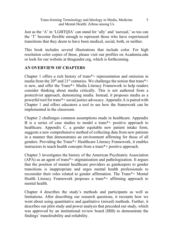Just as the 'A' in 'LGBTQIA' can stand for 'ally' and 'asexual,' so too can the 'T' become flexible enough to represent those who have experienced transitions that they deem to have been medical, social, both, or neither.

This book includes several illustrations that include color. For high resolution color copies of these, please visit our profiles on Academia.edu or look for our website at thisgender.org, which is forthcoming.

### **AN OVERVIEW OF CHAPTERS**

Chapter 1 offers a rich history of trans\*+ representation and omission in media from the 20<sup>th</sup> and 21<sup>st</sup> centuries. We challenge the notion that trans<sup>\*+</sup> is new, and offer the Trans\*+ Media Literacy Framework to help readers consider thinking about media critically. This is not authored from a protectivist approach, demonizing media. Instead, it proposes media as a powerful tool for trans\*+ social justice advocacy. Appendix A is paired with Chapter 1 and offers educators a tool to see how the framework can be implemented in the classroom.

Chapter 2 challenges common assumptions made in healthcare. Appendix B is a series of case studies to model a trans\*+ positive approach to healthcare. Appendix C, a gender equitable new patient intake form, suggests a new comprehensive method of collecting data from new patients in a manner that demonstrates an environment affirming for those of all genders. Providing the Trans\*+ Healthcare Literacy Framework, it enables instructors to teach health concepts from a trans\*+ positive approach.

Chapter 3 investigates the history of the American Psychiatric Association (APA) as an agent of trans\*+ stigmatization and pathologization. It argues that the position of mental healthcare providers as gatekeepers to gender transitions is inappropriate and urges mental health professionals to reconsider their roles related to gender affirmation. The Trans\*+ Mental Health Literacy Framework proposes a trans\*+ affirming approach to mental health.

Chapter 4 describes the study's methods and participants as well as limitations. After describing our research questions, it recounts how we went about using quantitative and qualitative (mixed) methods. Further, it describes our pilot study and power analysis that preceded our study, which was approved by an institutional review board (IRB) to demonstrate the findings' transferability and reliability.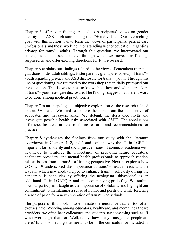Chapter 5 offers our findings related to participants' views on gender identity and ASB disclosure among trans\*+ individuals. Our overarching goal with this section was to learn the views of participants, patient care professionals and those working in or attending higher education, regarding privacy for trans\*+ adults. Through this question, we interrogated our colleagues and the social circles through which we move. The findings surprised us and offer exciting directions for future research.

Chapter 6 explains our findings related to the views of caretakers (parents, guardians, older adult siblings, foster parents, grandparents, etc.) of trans\*+ youth regarding privacy and ASB disclosure for trans\*+ youth. Through this line of questioning, we returned to the workshop that initially prompted our investigation. That is, we wanted to know about how and when caretakers of trans\*+ youth navigate disclosure. The findings suggest that there is work to be done among medical practitioners.

Chapter 7 is an unapologetic, objective exploration of the research related to trans\*+ health. We tried to explore the topic from the perspective of advocates and naysayers alike. We debunk the desistance myth and investigate possible health risks associated with CSHT. The conclusions offer specific areas in need of future research and recommendations for practice.

Chapter 8 synthesizes the findings from our study with the literature overviewed in Chapters 1, 2, and 3 and explains why the 'T' in LGBT is important for solidarity and social justice issues. It connects academia with healthcare to reinforce the importance of preparing future educators, healthcare providers, and mental health professionals to approach genderrelated issues from a trans\*+ affirming perspective. Next, it explores how COVID-19 underscored the importance of trans\*+ health needs and the ways in which new media helped to enhance trans\*+ solidarity during the pandemic. It concludes by offering the neologism 'thisgender' as an additional 'T' in LGBTQIA and an accompanying pride flag. We outline how our participants taught us the importance of solidarity and highlight our commitment to maintaining a sense of humor and positivity while fostering a sense of pride for a new generation of trans\*+ individuals.

The purpose of this book is to eliminate the ignorance that all too often excuses hate. Working among educators, healthcare, and mental healthcare providers, we often hear colleagues and students say something such as, 'I was never taught that,' or 'Well, really, how many transgender people are there? Is this something that needs to be in the curriculum or included in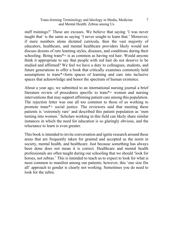#### Trans-forming Terminology and Ideology in Media, Medicine and Mental Health: Zebras among Us

staff trainings?' These are excuses. We believe that saying 'I was never taught that' is the same as saying 'I never sought to learn that.' Moreover, if mere numbers alone dictated curricula, then the vast majority of educators, healthcare, and mental healthcare providers likely would not discuss dozens of rare learning styles, diseases, and conditions during their schooling. Being trans\*+ is as common as having red hair. Would anyone think it appropriate to say that people with red hair do not deserve to be studied and affirmed? We feel we have a duty to colleagues, students, and future generations to offer a book that critically examines commonly held assumptions to trans\*+form spaces of learning and care into inclusive spaces that acknowledge and honor the spectrum of human existence.

About a year ago, we submitted to an international nursing journal a brief literature review of procedures specific to trans\*+ women and nursing interventions that may support affirming patient care among this population. The rejection letter was one all too common to those of us working to promote trans\*+ social justice. The reviewers said that meeting these patients is 'extremely rare' and described this patient population as 'men turning into women.' Scholars working in this field can likely share similar instances in which the need for education is so glaringly obvious, and the reluctance to learn is even greater.

This book is intended to invite conversation and ignite research around these areas that are frequently taken for granted and accepted as the norm in society, mental health, and healthcare. Just because something has always been done does not mean it is correct. Healthcare and mental health professionals are often taught during our schooling that we should 'look for horses, not zebras.' This is intended to teach us to expect to look for what is most common to manifest among our patients; however, this 'one size fits all' approach to gender is clearly not working. Sometimes you do need to look for the zebra.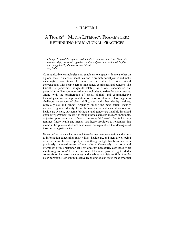# CHAPTER 1

# A TRANS\*+ MEDIA LITERACY FRAMEWORK: RETHINKING EDUCATIONAL PRACTICES

*Change is possible: spaces and mindsets can become trans\*+ed. As elements shift, the trans\*+ gender creative body becomes validated, legible, and recognized by the spaces they inhabit. —sj Miller*

Communicative technologies now enable us to engage with one another on a global level, to share our identities, and to promote social justice and make meaningful connections. Likewise, we are able to foster critical conversations with people across time zones, continents, and cultures. The COVID-19 pandemic, though devastating as it was, underscored our potential to utilize communicative technologies to strive for social justice. Along with the proliferation of social, digital, and communicative technologies, media representation of various identities has begun to challenge stereotypes of class, ability, age, and other identity markers, especially sex and gender. Arguably, among the most salient identity markers is gender identity. From the moment we enter an educational or healthcare system, our name, birthdate, and gender are indelibly inscribed upon our 'permanent record,' as though these characteristics are immutable, objective, permanent, and, of course, meaningful. Trans\*+ Media Literacy reminds future health and mental healthcare providers to remember that media in hospitals and clinics send clear messages about the ideologies of those serving patients there.

Never before have we had as much trans\*+ media representation and access to information concerning trans\*+ lives, healthcare, and mental well-being as we do now. In one respect, it is as though a light has been cast on a previously darkened recess of our culture. Conversely, the color and brightness of this metaphorical light does not necessarily cast those of us identifying as trans\*+ in an accurate, let alone, positive light. Media connectivity increases awareness and enables activists to fight trans\*+ discrimination. New communicative technologies also assist those who fuel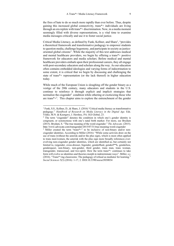the fires of hate to do so much more rapidly than ever before. Thus, despite gaining this increased global connectivity, trans\*+ individuals are living through an era replete with trans\*+ discrimination. Now, in a media moment seemingly filled with diverse representations, is a vital time to examine media messages critically and use it to foster social justice.

Critical Media Literacy, as defined by Funk, Kellner, and Share<sup>1</sup>, "provides a theoretical framework and transformative pedagogy to empower students to question media, challenge hegemony, and participate in society as justiceoriented global citizens". While the majority of this text addresses medical and mental healthcare providers, we begin by offering a trans\*+ positive framework for educators and media scholars. Before medical and mental healthcare providers embark upon their professional careers, they all engage with post-secondary educators and scholars along the way. As our education often contains embedded ideologies and varying forms of indoctrination to some extent, it is critical that we begin by discussing and challenging the state of trans\*+ representation (or the lack thereof) in higher education today.

While much of the European Union is sloughing off the gender binary as a vestige of the 20th century, many educators and students in the U.S. continue to reinforce it through explicit and implicit strategies that normalize the cisgender<sup>2</sup> condition while othering or exoticizing those who are trans\*+3 . This chapter aims to explore the entrenchment of the gender

<sup>&</sup>lt;sup>1</sup> Funk, S.S., Kellner, D., & Share, J. (2016) "Critical media literacy as transformative pedagogy." *Handbook of Research on Media Literacy in the Digital Age*. Eds. Yildiz, M.N. & Keengwe, J. Hershey, PA: IGI Global, 23. <sup>2</sup> The term "cisgender" denotes the condition in which one's gender identity is

congruent, or synonymous with one's natal birth marker. For more, see Brydum (2015). Brydum, S. "The true meaning of the word cisgender." *The Advocate*. (2015). http://www.advocate.com/transgender/2015/07/31/true-meaning-word-cisgender

<sup>&</sup>lt;sup>3</sup> Miller created the term "trans<sup>\*+</sup>" to be inclusive of non-binary and/or noncisgender identities. According to Miller (2016): "While some activists draw on the use of trans (without the asterisk and/or the plus sign), which is most often applied to trans men/women, the asterisk with the plus sign more broadly references everevolving non-cisgender gender identities, which are identified as, but certainly not limited to, (a)gender, cross-dresser, bigender, genderfluid, genderf\*\*k, genderless, genderqueer, non-binary, non-gender, third gender, trans man, trans woman, transgender, transsexual, and two-spirit. How the term trans\*+ continues to take form will evolve as identities and theories morph in indeterminate ways". Miller, s.j. (2016). "Trans\*+ing classrooms: The pedagogy of refusal as mediator for learning." *Social Sciences* 5(3) (2016): 1-17, 2. DOI:10.3390/socsci5030034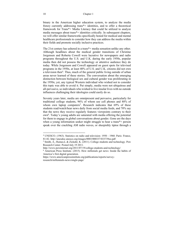binary in the American higher education system, to analyze the media frenzy currently addressing trans\*+ identities, and to offer a theoretical framework for Trans\*+ Media Literacy that could be utilized to analyze media messages about trans\*+ identities critically. In subsequent chapters, we will offer similar frameworks specifically honed for medical and mental healthcare professionals to consider how they can address the media within their fields and promote socially inclusive practices.

The 21st century has ushered in a trans\*+ media sensation unlike any other. Although headlines about the medical gender transitions of Christine Jorgensen and Roberta Cowell were lucrative for newspapers and radio programs throughout the U.S. and U.K. during the early 1950s, popular media then did not possess the technology or attentive audience they do today. While Jorgenson and Cowell appeared on guest spots for televised programs in the 1950s, at least 40% of U.S. and U.K. citizens did not own a television then<sup>4</sup>. Thus, much of the general public living outside of urban areas never learned of these stories. The conversation about the emerging distinction between biological sex and cultural gender was proliferating in the 1950s; yet, any typical Western individual who wished not to consider this topic was able to avoid it. Put simply, media were not ubiquitous and all-pervasive, so individuals who wished to live insular lives with no outside influences challenging their ideologies could easily do so.

Seventy years later, media are omnipresent and pervasive, particularly for traditional college students, 96% of whom use cell phones and 88% of whom own laptop computers<sup>5</sup>. Research indicates that 69% of these students read/watch/hear news daily from social media feeds, and 70% say that the news they receive regularly features viewpoints contrary to their own<sup>6</sup>. Today's young adults are saturated with media offering the potential for them to engage in global conversations about gender. Gone are the days when a young information seeker might struggle to hear a trans\*+ person speak over the crackling AM radio waves, or sheepishly tiptoe through a

<sup>4</sup> UNESCO. (1963). Statistics on radio and television: 1950 - 1960. Paris: France, 81-82. http://unesdoc.unesco.org/images/0003/000337/033739eo.pdf<br><sup>5</sup> Smith, A.; Rainee,L & Zickuhr, K. (2011). College students and technology. Pew

Research Center. Posted July 19 2011.

http://www.pewinternet.org/2011/07/19/college-students-and-technology/ 6 American Press Institute. (2015). How millenials get news: Inside the habits of

America's first digital generation.

https://www.americanpressinstitute.org/publications/reports/surveyresearch/millennials-news/single-page/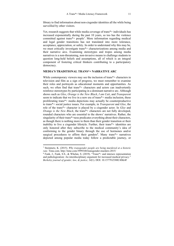library to find information about non-cisgender identities all the while being surveilled by other visitors.

Yet, research suggests that while media coverage of trans\*+ individuals has increased exponentially during the past 10 years, so too has the violence committed against trans\*+ people<sup>7</sup>. More information regarding medical and legal gender transitions has not translated into more tolerance, acceptance, appreciation, or safety. In order to understand why this may be, we must critically investigate trans\*+ characterizations among media and their narrative arcs. Examining stereotypes and tropes among media narratives is a non-threatening, non-invasive means to challenge students to question long-held beliefs and assumptions, all of which is an integral component of fostering critical thinkers contributing to a participatory democracy.

### **MEDIA'S TRADITIONAL TRANS\*+ NARRATIVE ARC**

While contemporary viewers may see the inclusion of trans<sup>\*+</sup> characters in television and film as a sign of progress, we must remember to examine their roles and portrayals as educational moments and opportunities. As such, we often find that trans\*+ characters and actors can inadvertently reinforce stereotypes by participating in a dominant narrative arc. Although shows such as *Glee*, *Orange is the New Black*, *I am Cait*, and *Transparent*  seem to indicate that we live in a new era of trans\*+ media inclusion, these proliferating trans\*+ media depictions may actually be counterproductive to trans\*+ social justice issues. For example, in *Transparent* and *Glee*, the role of the trans\*+ character is played by a cisgender actor. In *Glee* and *Orange is the New Black*, the trans<sup>\*+</sup> characters are not fully developed, rounded characters who are essential to the shows' narratives. Rather, the singularity of their trans\*+ness predicates everything about their characters, as though there is nothing more to them than their gender transition or their inability to live a cisgender lifestyle. Further, their trans\*+ identities are only honored after they subscribe to the medical community's idea of conforming to the gender binary through the use of hormones and/or surgical procedures to affirm their genders<sup>8</sup>. Many trans<sup>\*+</sup> narratives depicted among popular media today follow a predictable journey, or

<sup>7</sup> Steinmetz, K. (2015). *Why transgender people are being murdered at a historic rate*. Time.com. http://time.com/3999348/transgender-murders-2015/<br><sup>8</sup> Funk, J., Funk, S.S., & Whelan, S. (2019). "Trans\*+ and intersex representation

and pathologization: An interdisciplinary argument for increased medical privacy." *Berkeley journal of gender, law, & justice, 34*(1). DOI: 10.15779/Z380C4SK4F